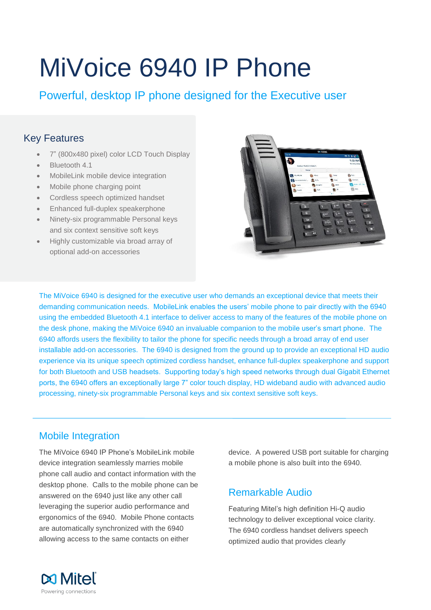# MiVoice 6940 IP Phone

Powerful, desktop IP phone designed for the Executive user

## Key Features

- 7" (800x480 pixel) color LCD Touch Display
- Bluetooth 4.1
- MobileLink mobile device integration
- Mobile phone charging point
- Cordless speech optimized handset
- Enhanced full-duplex speakerphone
- Ninety-six programmable Personal keys and six context sensitive soft keys
- Highly customizable via broad array of optional add-on accessories



The MiVoice 6940 is designed for the executive user who demands an exceptional device that meets their demanding communication needs. MobileLink enables the users' mobile phone to pair directly with the 6940 using the embedded Bluetooth 4.1 interface to deliver access to many of the features of the mobile phone on the desk phone, making the MiVoice 6940 an invaluable companion to the mobile user's smart phone. The 6940 affords users the flexibility to tailor the phone for specific needs through a broad array of end user installable add-on accessories. The 6940 is designed from the ground up to provide an exceptional HD audio experience via its unique speech optimized cordless handset, enhance full-duplex speakerphone and support for both Bluetooth and USB headsets. Supporting today's high speed networks through dual Gigabit Ethernet ports, the 6940 offers an exceptionally large 7" color touch display, HD wideband audio with advanced audio processing, ninety-six programmable Personal keys and six context sensitive soft keys.

# Mobile Integration

The MiVoice 6940 IP Phone's MobileLink mobile device integration seamlessly marries mobile phone call audio and contact information with the desktop phone. Calls to the mobile phone can be answered on the 6940 just like any other call leveraging the superior audio performance and ergonomics of the 6940. Mobile Phone contacts are automatically synchronized with the 6940 allowing access to the same contacts on either

device. A powered USB port suitable for charging a mobile phone is also built into the 6940.

# Remarkable Audio

Featuring Mitel's high definition Hi-Q audio technology to deliver exceptional voice clarity. The 6940 cordless handset delivers speech optimized audio that provides clearly

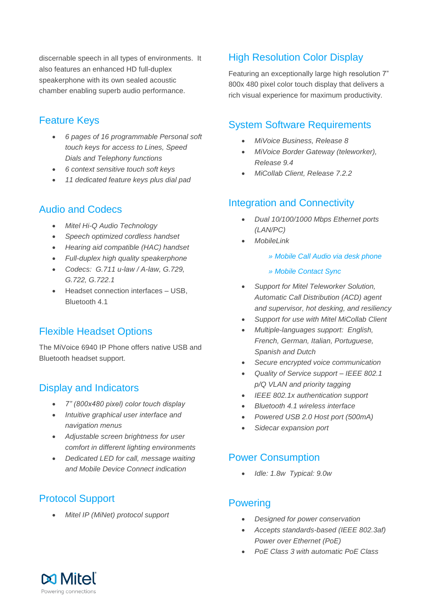discernable speech in all types of environments. It also features an enhanced HD full-duplex speakerphone with its own sealed acoustic chamber enabling superb audio performance.

## Feature Keys

- *6 pages of 16 programmable Personal soft touch keys for access to Lines, Speed Dials and Telephony functions*
- *6 context sensitive touch soft keys*
- *11 dedicated feature keys plus dial pad*

## Audio and Codecs

- *Mitel Hi-Q Audio Technology*
- *Speech optimized cordless handset*
- *Hearing aid compatible (HAC) handset*
- *Full-duplex high quality speakerphone*
- *Codecs: G.711 u-law / A-law, G.729, G.722, G.722.1*
- Headset connection interfaces USB. Bluetooth 4.1

## Flexible Headset Options

The MiVoice 6940 IP Phone offers native USB and Bluetooth headset support.

## Display and Indicators

- *7" (800x480 pixel) color touch display*
- *Intuitive graphical user interface and navigation menus*
- *Adjustable screen brightness for user comfort in different lighting environments*
- *Dedicated LED for call, message waiting and Mobile Device Connect indication*

# Protocol Support

*Mitel IP (MiNet) protocol support* 

# High Resolution Color Display

Featuring an exceptionally large high resolution 7" 800x 480 pixel color touch display that delivers a rich visual experience for maximum productivity.

#### System Software Requirements

- *MiVoice Business, Release 8*
- *MiVoice Border Gateway (teleworker), Release 9.4*
- *MiCollab Client, Release 7.2.2*

## Integration and Connectivity

- *Dual 10/100/1000 Mbps Ethernet ports (LAN/PC)*
- *MobileLink* 
	- *» Mobile Call Audio via desk phone*
	- *» Mobile Contact Sync*
- *Support for Mitel Teleworker Solution, Automatic Call Distribution (ACD) agent and supervisor, hot desking, and resiliency*
- *Support for use with Mitel MiCollab Client*
- *Multiple-languages support: English, French, German, Italian, Portuguese, Spanish and Dutch*
- *Secure encrypted voice communication*
- *Quality of Service support – IEEE 802.1 p/Q VLAN and priority tagging*
- *IEEE 802.1x authentication support*
- *Bluetooth 4.1 wireless interface*
- *Powered USB 2.0 Host port (500mA)*
- *Sidecar expansion port*

## Power Consumption

*Idle: 1.8w Typical: 9.0w*

#### **Powering**

- *Designed for power conservation*
- *Accepts standards-based (IEEE 802.3af) Power over Ethernet (PoE)*
- *PoE Class 3 with automatic PoE Class*